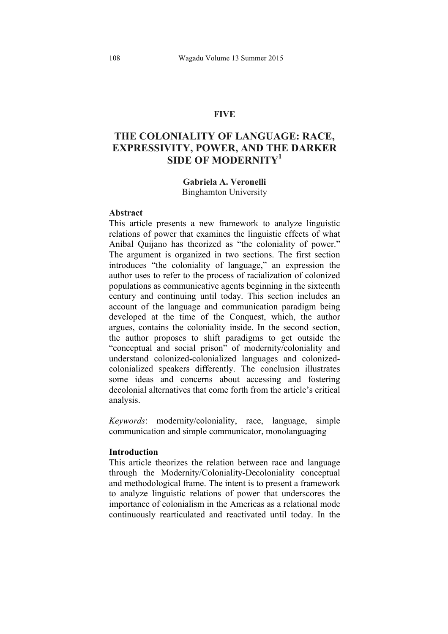# **FIVE**

# **THE COLONIALITY OF LANGUAGE: RACE, EXPRESSIVITY, POWER, AND THE DARKER SIDE OF MODERNITY<sup>1</sup>**

# **Gabriela A. Veronelli** Binghamton University

# **Abstract**

This article presents a new framework to analyze linguistic relations of power that examines the linguistic effects of what Aníbal Quijano has theorized as "the coloniality of power." The argument is organized in two sections. The first section introduces "the coloniality of language," an expression the author uses to refer to the process of racialization of colonized populations as communicative agents beginning in the sixteenth century and continuing until today. This section includes an account of the language and communication paradigm being developed at the time of the Conquest, which, the author argues, contains the coloniality inside. In the second section, the author proposes to shift paradigms to get outside the "conceptual and social prison" of modernity/coloniality and understand colonized-colonialized languages and colonizedcolonialized speakers differently. The conclusion illustrates some ideas and concerns about accessing and fostering decolonial alternatives that come forth from the article's critical analysis.

*Keywords*: modernity/coloniality, race, language, simple communication and simple communicator, monolanguaging

# **Introduction**

This article theorizes the relation between race and language through the Modernity/Coloniality-Decoloniality conceptual and methodological frame. The intent is to present a framework to analyze linguistic relations of power that underscores the importance of colonialism in the Americas as a relational mode continuously rearticulated and reactivated until today. In the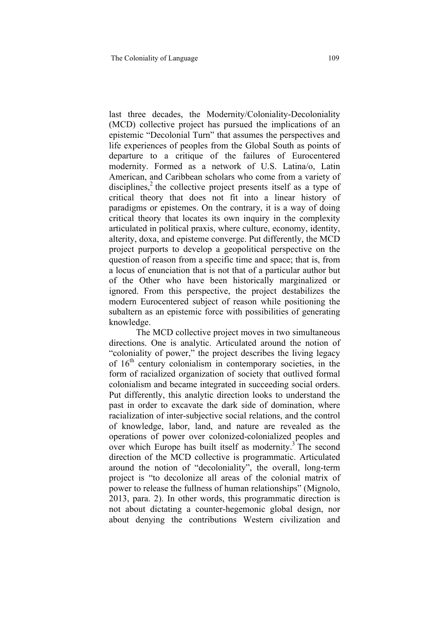last three decades, the Modernity/Coloniality-Decoloniality (MCD) collective project has pursued the implications of an epistemic "Decolonial Turn" that assumes the perspectives and life experiences of peoples from the Global South as points of departure to a critique of the failures of Eurocentered modernity. Formed as a network of U.S. Latina/o, Latin American, and Caribbean scholars who come from a variety of disciplines,<sup>2</sup> the collective project presents itself as a type of critical theory that does not fit into a linear history of paradigms or epistemes. On the contrary, it is a way of doing critical theory that locates its own inquiry in the complexity articulated in political praxis, where culture, economy, identity, alterity, doxa, and episteme converge. Put differently, the MCD project purports to develop a geopolitical perspective on the question of reason from a specific time and space; that is, from a locus of enunciation that is not that of a particular author but of the Other who have been historically marginalized or ignored. From this perspective, the project destabilizes the modern Eurocentered subject of reason while positioning the subaltern as an epistemic force with possibilities of generating knowledge.

The MCD collective project moves in two simultaneous directions. One is analytic. Articulated around the notion of "coloniality of power," the project describes the living legacy of  $16<sup>th</sup>$  century colonialism in contemporary societies, in the form of racialized organization of society that outlived formal colonialism and became integrated in succeeding social orders. Put differently, this analytic direction looks to understand the past in order to excavate the dark side of domination, where racialization of inter-subjective social relations, and the control of knowledge, labor, land, and nature are revealed as the operations of power over colonized-colonialized peoples and over which Europe has built itself as modernity.<sup>3</sup> The second direction of the MCD collective is programmatic. Articulated around the notion of "decoloniality", the overall, long-term project is "to decolonize all areas of the colonial matrix of power to release the fullness of human relationships" (Mignolo, 2013, para. 2). In other words, this programmatic direction is not about dictating a counter-hegemonic global design, nor about denying the contributions Western civilization and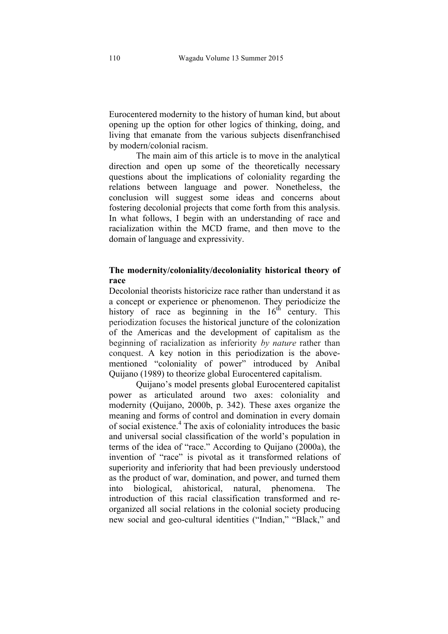Eurocentered modernity to the history of human kind, but about opening up the option for other logics of thinking, doing, and living that emanate from the various subjects disenfranchised by modern/colonial racism.

The main aim of this article is to move in the analytical direction and open up some of the theoretically necessary questions about the implications of coloniality regarding the relations between language and power. Nonetheless, the conclusion will suggest some ideas and concerns about fostering decolonial projects that come forth from this analysis. In what follows, I begin with an understanding of race and racialization within the MCD frame, and then move to the domain of language and expressivity.

# **The modernity/coloniality/decoloniality historical theory of race**

Decolonial theorists historicize race rather than understand it as a concept or experience or phenomenon. They periodicize the history of race as beginning in the  $16<sup>th</sup>$  century. This periodization focuses the historical juncture of the colonization of the Americas and the development of capitalism as the beginning of racialization as inferiority *by nature* rather than conquest. A key notion in this periodization is the abovementioned "coloniality of power" introduced by Aníbal Quijano (1989) to theorize global Eurocentered capitalism.

Quijano's model presents global Eurocentered capitalist power as articulated around two axes: coloniality and modernity (Quijano, 2000b, p. 342). These axes organize the meaning and forms of control and domination in every domain of social existence.<sup>4</sup> The axis of coloniality introduces the basic and universal social classification of the world's population in terms of the idea of "race." According to Quijano (2000a), the invention of "race" is pivotal as it transformed relations of superiority and inferiority that had been previously understood as the product of war, domination, and power, and turned them into biological, ahistorical, natural, phenomena. The introduction of this racial classification transformed and reorganized all social relations in the colonial society producing new social and geo-cultural identities ("Indian," "Black," and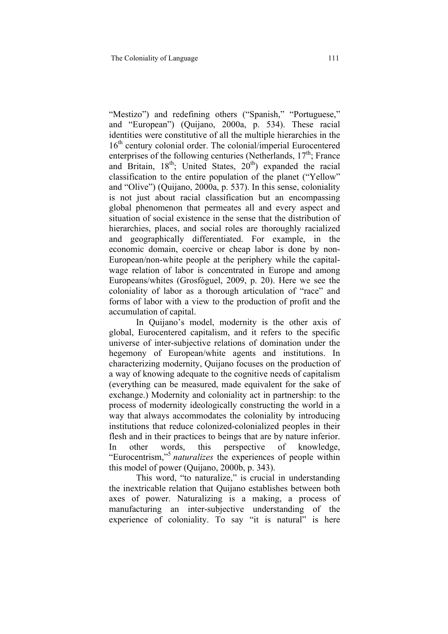"Mestizo") and redefining others ("Spanish," "Portuguese," and "European") (Quijano, 2000a, p. 534). These racial identities were constitutive of all the multiple hierarchies in the 16<sup>th</sup> century colonial order. The colonial/imperial Eurocentered enterprises of the following centuries (Netherlands,  $17<sup>th</sup>$ ; France and Britain,  $18<sup>th</sup>$ ; United States,  $20<sup>th</sup>$ ) expanded the racial classification to the entire population of the planet ("Yellow" and "Olive") (Quijano, 2000a, p. 537). In this sense, coloniality is not just about racial classification but an encompassing global phenomenon that permeates all and every aspect and situation of social existence in the sense that the distribution of hierarchies, places, and social roles are thoroughly racialized and geographically differentiated. For example, in the economic domain, coercive or cheap labor is done by non-European/non-white people at the periphery while the capitalwage relation of labor is concentrated in Europe and among Europeans/whites (Grosfóguel, 2009, p. 20). Here we see the coloniality of labor as a thorough articulation of "race" and forms of labor with a view to the production of profit and the accumulation of capital.

In Quijano's model, modernity is the other axis of global, Eurocentered capitalism, and it refers to the specific universe of inter-subjective relations of domination under the hegemony of European/white agents and institutions. In characterizing modernity, Quijano focuses on the production of a way of knowing adequate to the cognitive needs of capitalism (everything can be measured, made equivalent for the sake of exchange.) Modernity and coloniality act in partnership: to the process of modernity ideologically constructing the world in a way that always accommodates the coloniality by introducing institutions that reduce colonized-colonialized peoples in their flesh and in their practices to beings that are by nature inferior. In other words, this perspective of knowledge, "Eurocentrism,"5 *naturalizes* the experiences of people within this model of power (Quijano, 2000b, p. 343).

This word, "to naturalize," is crucial in understanding the inextricable relation that Quijano establishes between both axes of power. Naturalizing is a making, a process of manufacturing an inter-subjective understanding of the experience of coloniality. To say "it is natural" is here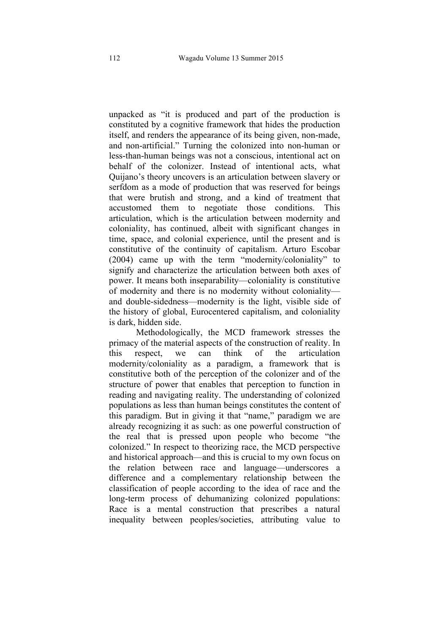unpacked as "it is produced and part of the production is constituted by a cognitive framework that hides the production itself, and renders the appearance of its being given, non-made, and non-artificial." Turning the colonized into non-human or less-than-human beings was not a conscious, intentional act on behalf of the colonizer. Instead of intentional acts, what Quijano's theory uncovers is an articulation between slavery or serfdom as a mode of production that was reserved for beings that were brutish and strong, and a kind of treatment that accustomed them to negotiate those conditions. This articulation, which is the articulation between modernity and coloniality, has continued, albeit with significant changes in time, space, and colonial experience, until the present and is constitutive of the continuity of capitalism. Arturo Escobar (2004) came up with the term "modernity/coloniality" to signify and characterize the articulation between both axes of power. It means both inseparability—coloniality is constitutive of modernity and there is no modernity without coloniality and double-sidedness—modernity is the light, visible side of the history of global, Eurocentered capitalism, and coloniality is dark, hidden side.

Methodologically, the MCD framework stresses the primacy of the material aspects of the construction of reality. In this respect, we can think of the articulation modernity/coloniality as a paradigm, a framework that is constitutive both of the perception of the colonizer and of the structure of power that enables that perception to function in reading and navigating reality. The understanding of colonized populations as less than human beings constitutes the content of this paradigm. But in giving it that "name," paradigm we are already recognizing it as such: as one powerful construction of the real that is pressed upon people who become "the colonized." In respect to theorizing race, the MCD perspective and historical approach—and this is crucial to my own focus on the relation between race and language—underscores a difference and a complementary relationship between the classification of people according to the idea of race and the long-term process of dehumanizing colonized populations: Race is a mental construction that prescribes a natural inequality between peoples/societies, attributing value to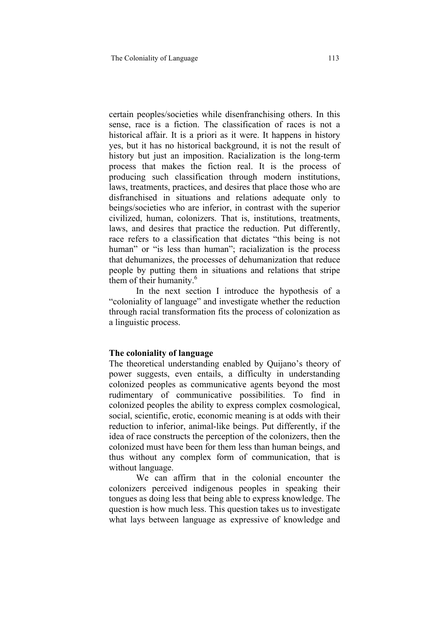certain peoples/societies while disenfranchising others. In this sense, race is a fiction. The classification of races is not a historical affair. It is a priori as it were. It happens in history yes, but it has no historical background, it is not the result of history but just an imposition. Racialization is the long-term process that makes the fiction real. It is the process of producing such classification through modern institutions, laws, treatments, practices, and desires that place those who are disfranchised in situations and relations adequate only to beings/societies who are inferior, in contrast with the superior civilized, human, colonizers. That is, institutions, treatments, laws, and desires that practice the reduction. Put differently, race refers to a classification that dictates "this being is not human" or "is less than human"; racialization is the process that dehumanizes, the processes of dehumanization that reduce people by putting them in situations and relations that stripe them of their humanity.<sup>6</sup>

In the next section I introduce the hypothesis of a "coloniality of language" and investigate whether the reduction through racial transformation fits the process of colonization as a linguistic process.

#### **The coloniality of language**

The theoretical understanding enabled by Quijano's theory of power suggests, even entails, a difficulty in understanding colonized peoples as communicative agents beyond the most rudimentary of communicative possibilities. To find in colonized peoples the ability to express complex cosmological, social, scientific, erotic, economic meaning is at odds with their reduction to inferior, animal-like beings. Put differently, if the idea of race constructs the perception of the colonizers, then the colonized must have been for them less than human beings, and thus without any complex form of communication, that is without language.

We can affirm that in the colonial encounter the colonizers perceived indigenous peoples in speaking their tongues as doing less that being able to express knowledge. The question is how much less. This question takes us to investigate what lays between language as expressive of knowledge and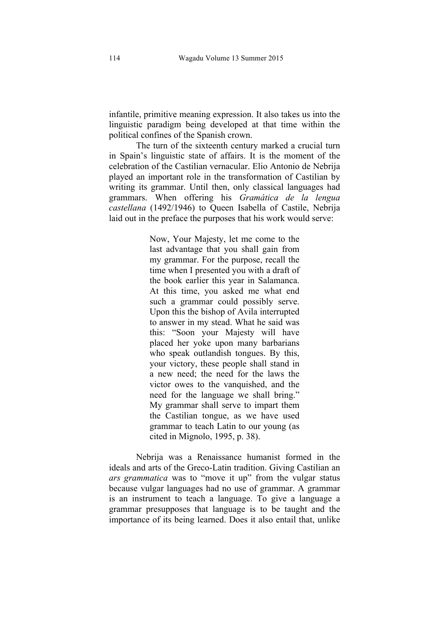infantile, primitive meaning expression. It also takes us into the linguistic paradigm being developed at that time within the political confines of the Spanish crown.

The turn of the sixteenth century marked a crucial turn in Spain's linguistic state of affairs. It is the moment of the celebration of the Castilian vernacular. Elio Antonio de Nebrija played an important role in the transformation of Castilian by writing its grammar. Until then, only classical languages had grammars. When offering his *Gramática de la lengua castellana* (1492/1946) to Queen Isabella of Castile, Nebrija laid out in the preface the purposes that his work would serve:

> Now, Your Majesty, let me come to the last advantage that you shall gain from my grammar. For the purpose, recall the time when I presented you with a draft of the book earlier this year in Salamanca. At this time, you asked me what end such a grammar could possibly serve. Upon this the bishop of Avila interrupted to answer in my stead. What he said was this: "Soon your Majesty will have placed her yoke upon many barbarians who speak outlandish tongues. By this, your victory, these people shall stand in a new need; the need for the laws the victor owes to the vanquished, and the need for the language we shall bring." My grammar shall serve to impart them the Castilian tongue, as we have used grammar to teach Latin to our young (as cited in Mignolo, 1995, p. 38).

Nebrija was a Renaissance humanist formed in the ideals and arts of the Greco-Latin tradition. Giving Castilian an *ars grammatica* was to "move it up" from the vulgar status because vulgar languages had no use of grammar. A grammar is an instrument to teach a language. To give a language a grammar presupposes that language is to be taught and the importance of its being learned. Does it also entail that, unlike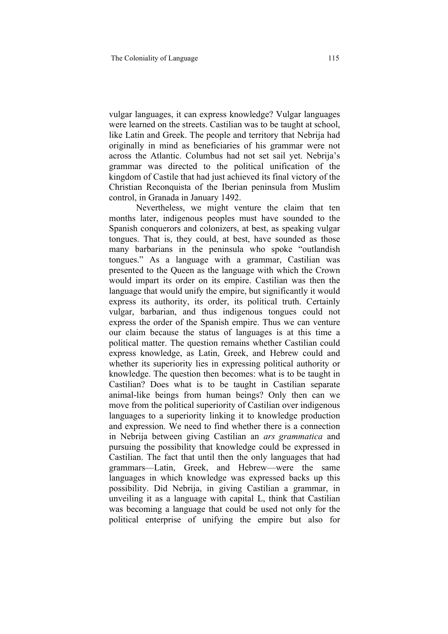vulgar languages, it can express knowledge? Vulgar languages were learned on the streets. Castilian was to be taught at school, like Latin and Greek. The people and territory that Nebrija had originally in mind as beneficiaries of his grammar were not across the Atlantic. Columbus had not set sail yet. Nebrija's grammar was directed to the political unification of the kingdom of Castile that had just achieved its final victory of the Christian Reconquista of the Iberian peninsula from Muslim control, in Granada in January 1492.

Nevertheless, we might venture the claim that ten months later, indigenous peoples must have sounded to the Spanish conquerors and colonizers, at best, as speaking vulgar tongues. That is, they could, at best, have sounded as those many barbarians in the peninsula who spoke "outlandish tongues." As a language with a grammar, Castilian was presented to the Queen as the language with which the Crown would impart its order on its empire. Castilian was then the language that would unify the empire, but significantly it would express its authority, its order, its political truth. Certainly vulgar, barbarian, and thus indigenous tongues could not express the order of the Spanish empire. Thus we can venture our claim because the status of languages is at this time a political matter. The question remains whether Castilian could express knowledge, as Latin, Greek, and Hebrew could and whether its superiority lies in expressing political authority or knowledge. The question then becomes: what is to be taught in Castilian? Does what is to be taught in Castilian separate animal-like beings from human beings? Only then can we move from the political superiority of Castilian over indigenous languages to a superiority linking it to knowledge production and expression. We need to find whether there is a connection in Nebrija between giving Castilian an *ars grammatica* and pursuing the possibility that knowledge could be expressed in Castilian. The fact that until then the only languages that had grammars—Latin, Greek, and Hebrew—were the same languages in which knowledge was expressed backs up this possibility. Did Nebrija, in giving Castilian a grammar, in unveiling it as a language with capital L, think that Castilian was becoming a language that could be used not only for the political enterprise of unifying the empire but also for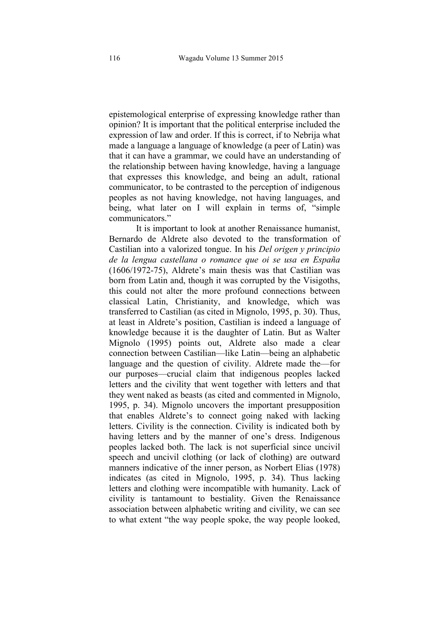epistemological enterprise of expressing knowledge rather than opinion? It is important that the political enterprise included the expression of law and order. If this is correct, if to Nebrija what made a language a language of knowledge (a peer of Latin) was that it can have a grammar, we could have an understanding of the relationship between having knowledge, having a language that expresses this knowledge, and being an adult, rational communicator, to be contrasted to the perception of indigenous peoples as not having knowledge, not having languages, and being, what later on I will explain in terms of, "simple communicators."

It is important to look at another Renaissance humanist, Bernardo de Aldrete also devoted to the transformation of Castilian into a valorized tongue. In his *Del origen y principio de la lengua castellana o romance que oi se usa en España* (1606/1972-75), Aldrete's main thesis was that Castilian was born from Latin and, though it was corrupted by the Visigoths, this could not alter the more profound connections between classical Latin, Christianity, and knowledge, which was transferred to Castilian (as cited in Mignolo, 1995, p. 30). Thus, at least in Aldrete's position, Castilian is indeed a language of knowledge because it is the daughter of Latin. But as Walter Mignolo (1995) points out, Aldrete also made a clear connection between Castilian—like Latin—being an alphabetic language and the question of civility. Aldrete made the—for our purposes—crucial claim that indigenous peoples lacked letters and the civility that went together with letters and that they went naked as beasts (as cited and commented in Mignolo, 1995, p. 34). Mignolo uncovers the important presupposition that enables Aldrete's to connect going naked with lacking letters. Civility is the connection. Civility is indicated both by having letters and by the manner of one's dress. Indigenous peoples lacked both. The lack is not superficial since uncivil speech and uncivil clothing (or lack of clothing) are outward manners indicative of the inner person, as Norbert Elias (1978) indicates (as cited in Mignolo, 1995, p. 34). Thus lacking letters and clothing were incompatible with humanity. Lack of civility is tantamount to bestiality. Given the Renaissance association between alphabetic writing and civility, we can see to what extent "the way people spoke, the way people looked,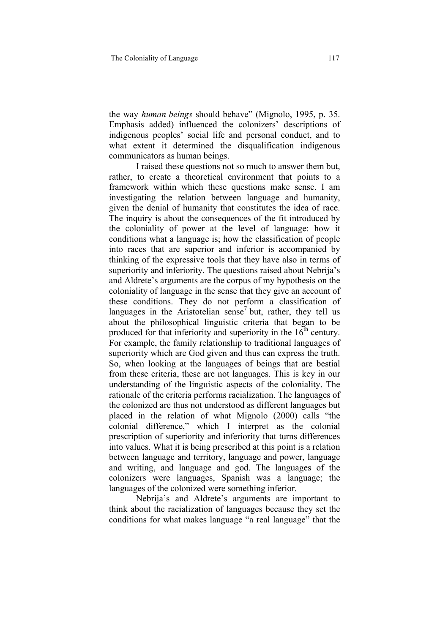the way *human beings* should behave" (Mignolo, 1995, p. 35. Emphasis added) influenced the colonizers' descriptions of indigenous peoples' social life and personal conduct, and to what extent it determined the disqualification indigenous communicators as human beings.

I raised these questions not so much to answer them but, rather, to create a theoretical environment that points to a framework within which these questions make sense. I am investigating the relation between language and humanity, given the denial of humanity that constitutes the idea of race. The inquiry is about the consequences of the fit introduced by the coloniality of power at the level of language: how it conditions what a language is; how the classification of people into races that are superior and inferior is accompanied by thinking of the expressive tools that they have also in terms of superiority and inferiority. The questions raised about Nebrija's and Aldrete's arguments are the corpus of my hypothesis on the coloniality of language in the sense that they give an account of these conditions. They do not perform a classification of languages in the Aristotelian sense<sup>7</sup> but, rather, they tell us about the philosophical linguistic criteria that began to be produced for that inferiority and superiority in the  $16<sup>th</sup>$  century. For example, the family relationship to traditional languages of superiority which are God given and thus can express the truth. So, when looking at the languages of beings that are bestial from these criteria, these are not languages. This is key in our understanding of the linguistic aspects of the coloniality. The rationale of the criteria performs racialization. The languages of the colonized are thus not understood as different languages but placed in the relation of what Mignolo (2000) calls "the colonial difference," which I interpret as the colonial prescription of superiority and inferiority that turns differences into values. What it is being prescribed at this point is a relation between language and territory, language and power, language and writing, and language and god. The languages of the colonizers were languages, Spanish was a language; the languages of the colonized were something inferior.

Nebrija's and Aldrete's arguments are important to think about the racialization of languages because they set the conditions for what makes language "a real language" that the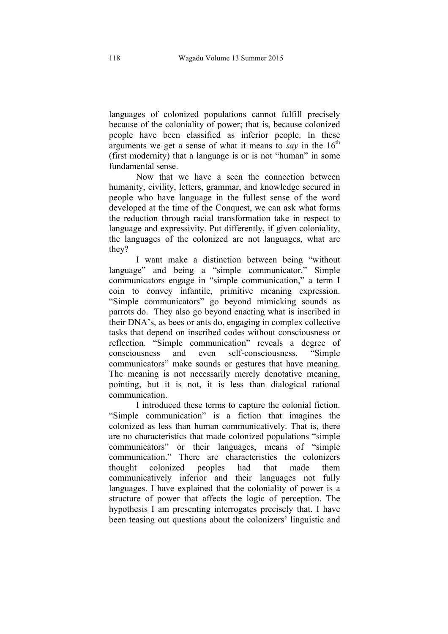languages of colonized populations cannot fulfill precisely because of the coloniality of power; that is, because colonized people have been classified as inferior people. In these arguments we get a sense of what it means to *say* in the  $16<sup>th</sup>$ (first modernity) that a language is or is not "human" in some fundamental sense.

Now that we have a seen the connection between humanity, civility, letters, grammar, and knowledge secured in people who have language in the fullest sense of the word developed at the time of the Conquest, we can ask what forms the reduction through racial transformation take in respect to language and expressivity. Put differently, if given coloniality, the languages of the colonized are not languages, what are they?

I want make a distinction between being "without language" and being a "simple communicator." Simple communicators engage in "simple communication," a term I coin to convey infantile, primitive meaning expression. "Simple communicators" go beyond mimicking sounds as parrots do. They also go beyond enacting what is inscribed in their DNA's, as bees or ants do, engaging in complex collective tasks that depend on inscribed codes without consciousness or reflection. "Simple communication" reveals a degree of consciousness and even self-consciousness. "Simple communicators" make sounds or gestures that have meaning. The meaning is not necessarily merely denotative meaning, pointing, but it is not, it is less than dialogical rational communication.

I introduced these terms to capture the colonial fiction. "Simple communication" is a fiction that imagines the colonized as less than human communicatively. That is, there are no characteristics that made colonized populations "simple communicators" or their languages, means of "simple communication." There are characteristics the colonizers thought colonized peoples had that made them communicatively inferior and their languages not fully languages. I have explained that the coloniality of power is a structure of power that affects the logic of perception. The hypothesis I am presenting interrogates precisely that. I have been teasing out questions about the colonizers' linguistic and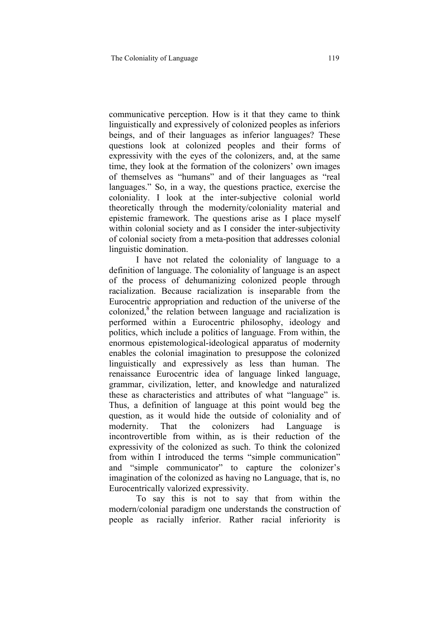communicative perception. How is it that they came to think linguistically and expressively of colonized peoples as inferiors beings, and of their languages as inferior languages? These questions look at colonized peoples and their forms of expressivity with the eyes of the colonizers, and, at the same time, they look at the formation of the colonizers' own images of themselves as "humans" and of their languages as "real languages." So, in a way, the questions practice, exercise the coloniality. I look at the inter-subjective colonial world theoretically through the modernity/coloniality material and epistemic framework. The questions arise as I place myself within colonial society and as I consider the inter-subjectivity of colonial society from a meta-position that addresses colonial linguistic domination.

I have not related the coloniality of language to a definition of language. The coloniality of language is an aspect of the process of dehumanizing colonized people through racialization. Because racialization is inseparable from the Eurocentric appropriation and reduction of the universe of the colonized, $\delta$ <sup>8</sup> the relation between language and racialization is performed within a Eurocentric philosophy, ideology and politics, which include a politics of language. From within, the enormous epistemological-ideological apparatus of modernity enables the colonial imagination to presuppose the colonized linguistically and expressively as less than human. The renaissance Eurocentric idea of language linked language, grammar, civilization, letter, and knowledge and naturalized these as characteristics and attributes of what "language" is. Thus, a definition of language at this point would beg the question, as it would hide the outside of coloniality and of modernity. That the colonizers had Language is incontrovertible from within, as is their reduction of the expressivity of the colonized as such. To think the colonized from within I introduced the terms "simple communication" and "simple communicator" to capture the colonizer's imagination of the colonized as having no Language, that is, no Eurocentrically valorized expressivity.

To say this is not to say that from within the modern/colonial paradigm one understands the construction of people as racially inferior. Rather racial inferiority is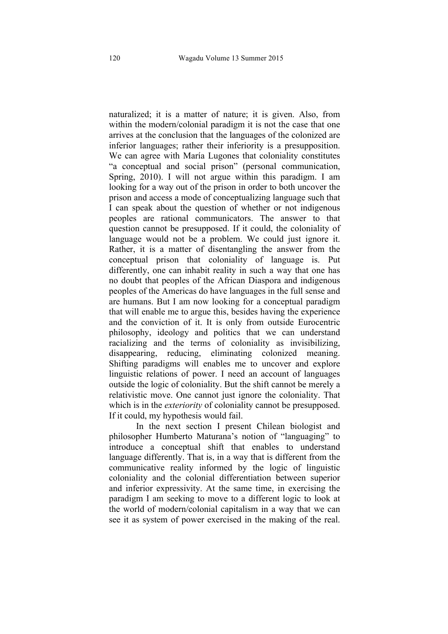naturalized; it is a matter of nature; it is given. Also, from within the modern/colonial paradigm it is not the case that one arrives at the conclusion that the languages of the colonized are inferior languages; rather their inferiority is a presupposition. We can agree with María Lugones that coloniality constitutes "a conceptual and social prison" (personal communication, Spring, 2010). I will not argue within this paradigm. I am looking for a way out of the prison in order to both uncover the prison and access a mode of conceptualizing language such that I can speak about the question of whether or not indigenous peoples are rational communicators. The answer to that question cannot be presupposed. If it could, the coloniality of language would not be a problem. We could just ignore it. Rather, it is a matter of disentangling the answer from the conceptual prison that coloniality of language is. Put differently, one can inhabit reality in such a way that one has no doubt that peoples of the African Diaspora and indigenous peoples of the Americas do have languages in the full sense and are humans. But I am now looking for a conceptual paradigm that will enable me to argue this, besides having the experience and the conviction of it. It is only from outside Eurocentric philosophy, ideology and politics that we can understand racializing and the terms of coloniality as invisibilizing, disappearing, reducing, eliminating colonized meaning. Shifting paradigms will enables me to uncover and explore linguistic relations of power. I need an account of languages outside the logic of coloniality. But the shift cannot be merely a relativistic move. One cannot just ignore the coloniality. That which is in the *exteriority* of coloniality cannot be presupposed. If it could, my hypothesis would fail.

In the next section I present Chilean biologist and philosopher Humberto Maturana's notion of "languaging" to introduce a conceptual shift that enables to understand language differently. That is, in a way that is different from the communicative reality informed by the logic of linguistic coloniality and the colonial differentiation between superior and inferior expressivity. At the same time, in exercising the paradigm I am seeking to move to a different logic to look at the world of modern/colonial capitalism in a way that we can see it as system of power exercised in the making of the real.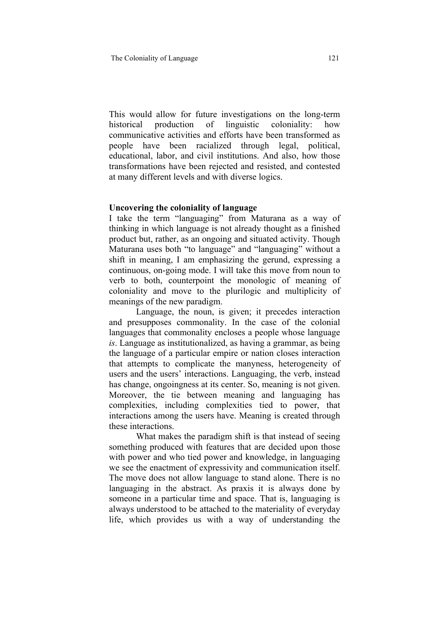This would allow for future investigations on the long-term historical production of linguistic coloniality: how communicative activities and efforts have been transformed as people have been racialized through legal, political, educational, labor, and civil institutions. And also, how those transformations have been rejected and resisted, and contested at many different levels and with diverse logics.

## **Uncovering the coloniality of language**

I take the term "languaging" from Maturana as a way of thinking in which language is not already thought as a finished product but, rather, as an ongoing and situated activity. Though Maturana uses both "to language" and "languaging" without a shift in meaning, I am emphasizing the gerund, expressing a continuous, on-going mode. I will take this move from noun to verb to both, counterpoint the monologic of meaning of coloniality and move to the plurilogic and multiplicity of meanings of the new paradigm.

Language, the noun, is given; it precedes interaction and presupposes commonality. In the case of the colonial languages that commonality encloses a people whose language *is*. Language as institutionalized, as having a grammar, as being the language of a particular empire or nation closes interaction that attempts to complicate the manyness, heterogeneity of users and the users' interactions. Languaging, the verb, instead has change, ongoingness at its center. So, meaning is not given. Moreover, the tie between meaning and languaging has complexities, including complexities tied to power, that interactions among the users have. Meaning is created through these interactions.

What makes the paradigm shift is that instead of seeing something produced with features that are decided upon those with power and who tied power and knowledge, in languaging we see the enactment of expressivity and communication itself. The move does not allow language to stand alone. There is no languaging in the abstract. As praxis it is always done by someone in a particular time and space. That is, languaging is always understood to be attached to the materiality of everyday life, which provides us with a way of understanding the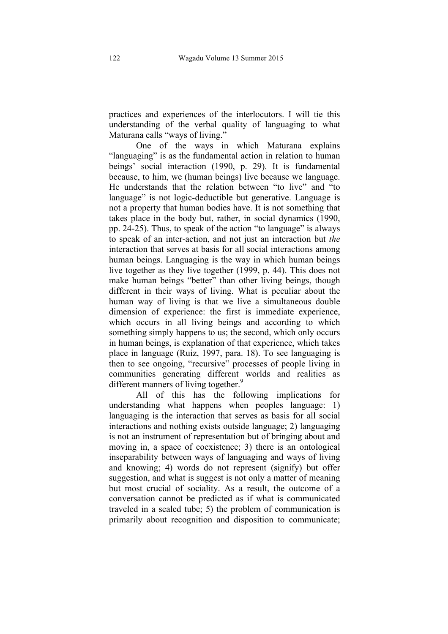practices and experiences of the interlocutors. I will tie this understanding of the verbal quality of languaging to what Maturana calls "ways of living."

One of the ways in which Maturana explains "languaging" is as the fundamental action in relation to human beings' social interaction (1990, p. 29). It is fundamental because, to him, we (human beings) live because we language. He understands that the relation between "to live" and "to language" is not logic-deductible but generative. Language is not a property that human bodies have. It is not something that takes place in the body but, rather, in social dynamics (1990, pp. 24-25). Thus, to speak of the action "to language" is always to speak of an inter-action, and not just an interaction but *the* interaction that serves at basis for all social interactions among human beings. Languaging is the way in which human beings live together as they live together (1999, p. 44). This does not make human beings "better" than other living beings, though different in their ways of living. What is peculiar about the human way of living is that we live a simultaneous double dimension of experience: the first is immediate experience, which occurs in all living beings and according to which something simply happens to us; the second, which only occurs in human beings, is explanation of that experience, which takes place in language (Ruiz, 1997, para. 18). To see languaging is then to see ongoing, "recursive" processes of people living in communities generating different worlds and realities as different manners of living together.<sup>9</sup>

All of this has the following implications for understanding what happens when peoples language: 1) languaging is the interaction that serves as basis for all social interactions and nothing exists outside language; 2) languaging is not an instrument of representation but of bringing about and moving in, a space of coexistence; 3) there is an ontological inseparability between ways of languaging and ways of living and knowing; 4) words do not represent (signify) but offer suggestion, and what is suggest is not only a matter of meaning but most crucial of sociality. As a result, the outcome of a conversation cannot be predicted as if what is communicated traveled in a sealed tube; 5) the problem of communication is primarily about recognition and disposition to communicate;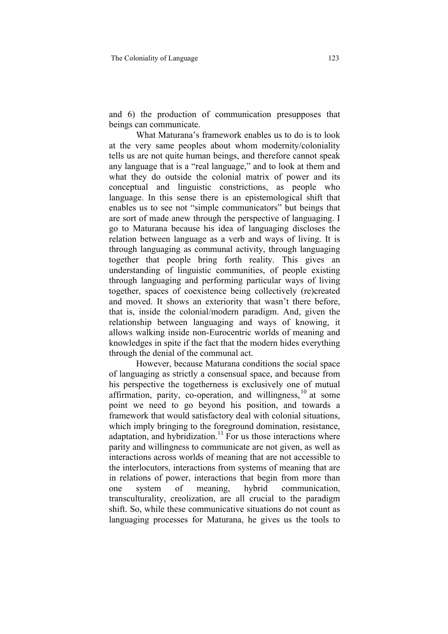and 6) the production of communication presupposes that beings can communicate.

What Maturana's framework enables us to do is to look at the very same peoples about whom modernity/coloniality tells us are not quite human beings, and therefore cannot speak any language that is a "real language," and to look at them and what they do outside the colonial matrix of power and its conceptual and linguistic constrictions, as people who language. In this sense there is an epistemological shift that enables us to see not "simple communicators" but beings that are sort of made anew through the perspective of languaging. I go to Maturana because his idea of languaging discloses the relation between language as a verb and ways of living. It is through languaging as communal activity, through languaging together that people bring forth reality. This gives an understanding of linguistic communities, of people existing through languaging and performing particular ways of living together, spaces of coexistence being collectively (re)created and moved. It shows an exteriority that wasn't there before, that is, inside the colonial/modern paradigm. And, given the relationship between languaging and ways of knowing, it allows walking inside non-Eurocentric worlds of meaning and knowledges in spite if the fact that the modern hides everything through the denial of the communal act.

However, because Maturana conditions the social space of languaging as strictly a consensual space, and because from his perspective the togetherness is exclusively one of mutual affirmation, parity, co-operation, and willingness,  $10$  at some point we need to go beyond his position, and towards a framework that would satisfactory deal with colonial situations, which imply bringing to the foreground domination, resistance, adaptation, and hybridization.<sup>11</sup> For us those interactions where parity and willingness to communicate are not given, as well as interactions across worlds of meaning that are not accessible to the interlocutors, interactions from systems of meaning that are in relations of power, interactions that begin from more than one system of meaning, hybrid communication, transculturality, creolization, are all crucial to the paradigm shift. So, while these communicative situations do not count as languaging processes for Maturana, he gives us the tools to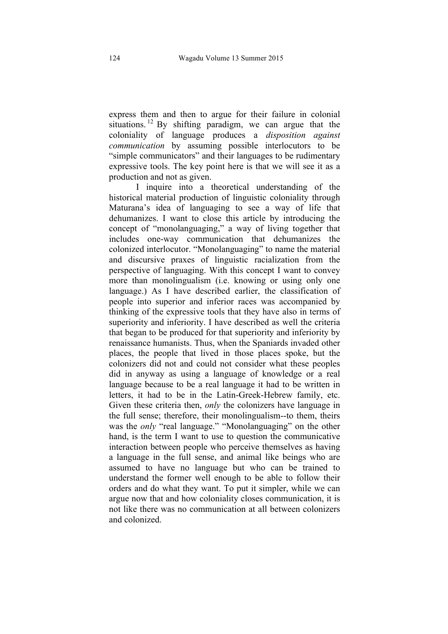express them and then to argue for their failure in colonial situations. <sup>12</sup> By shifting paradigm, we can argue that the coloniality of language produces a *disposition against communication* by assuming possible interlocutors to be "simple communicators" and their languages to be rudimentary expressive tools. The key point here is that we will see it as a production and not as given.

I inquire into a theoretical understanding of the historical material production of linguistic coloniality through Maturana's idea of languaging to see a way of life that dehumanizes. I want to close this article by introducing the concept of "monolanguaging," a way of living together that includes one-way communication that dehumanizes the colonized interlocutor. "Monolanguaging" to name the material and discursive praxes of linguistic racialization from the perspective of languaging. With this concept I want to convey more than monolingualism (i.e. knowing or using only one language.) As I have described earlier, the classification of people into superior and inferior races was accompanied by thinking of the expressive tools that they have also in terms of superiority and inferiority. I have described as well the criteria that began to be produced for that superiority and inferiority by renaissance humanists. Thus, when the Spaniards invaded other places, the people that lived in those places spoke, but the colonizers did not and could not consider what these peoples did in anyway as using a language of knowledge or a real language because to be a real language it had to be written in letters, it had to be in the Latin-Greek-Hebrew family, etc. Given these criteria then, *only* the colonizers have language in the full sense; therefore, their monolingualism--to them, theirs was the *only* "real language." "Monolanguaging" on the other hand, is the term I want to use to question the communicative interaction between people who perceive themselves as having a language in the full sense, and animal like beings who are assumed to have no language but who can be trained to understand the former well enough to be able to follow their orders and do what they want. To put it simpler, while we can argue now that and how coloniality closes communication, it is not like there was no communication at all between colonizers and colonized.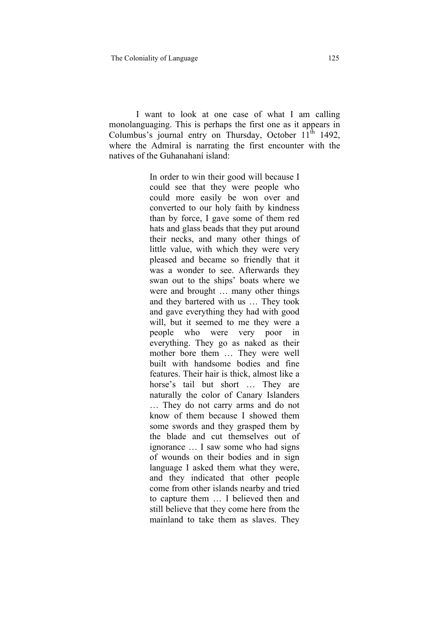I want to look at one case of what I am calling monolanguaging. This is perhaps the first one as it appears in Columbus's journal entry on Thursday, October  $11<sup>th</sup>$  1492, where the Admiral is narrating the first encounter with the natives of the Guhanahaní island:

> In order to win their good will because I could see that they were people who could more easily be won over and converted to our holy faith by kindness than by force, I gave some of them red hats and glass beads that they put around their necks, and many other things of little value, with which they were very pleased and became so friendly that it was a wonder to see. Afterwards they swan out to the ships' boats where we were and brought … many other things and they bartered with us … They took and gave everything they had with good will, but it seemed to me they were a people who were very poor in everything. They go as naked as their mother bore them … They were well built with handsome bodies and fine features. Their hair is thick, almost like a horse's tail but short ... They are naturally the color of Canary Islanders … They do not carry arms and do not know of them because I showed them some swords and they grasped them by the blade and cut themselves out of ignorance … I saw some who had signs of wounds on their bodies and in sign language I asked them what they were, and they indicated that other people come from other islands nearby and tried to capture them … I believed then and still believe that they come here from the mainland to take them as slaves. They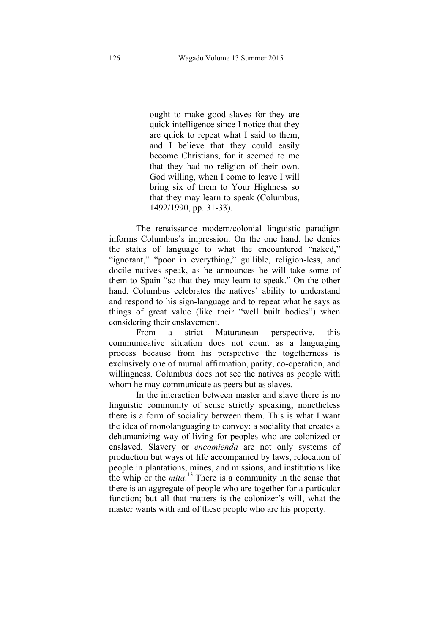ought to make good slaves for they are quick intelligence since I notice that they are quick to repeat what I said to them, and I believe that they could easily become Christians, for it seemed to me that they had no religion of their own. God willing, when I come to leave I will bring six of them to Your Highness so that they may learn to speak (Columbus, 1492/1990, pp. 31-33).

The renaissance modern/colonial linguistic paradigm informs Columbus's impression. On the one hand, he denies the status of language to what the encountered "naked," "ignorant," "poor in everything," gullible, religion-less, and docile natives speak, as he announces he will take some of them to Spain "so that they may learn to speak." On the other hand, Columbus celebrates the natives' ability to understand and respond to his sign-language and to repeat what he says as things of great value (like their "well built bodies") when considering their enslavement.

From a strict Maturanean perspective, this communicative situation does not count as a languaging process because from his perspective the togetherness is exclusively one of mutual affirmation, parity, co-operation, and willingness. Columbus does not see the natives as people with whom he may communicate as peers but as slaves.

In the interaction between master and slave there is no linguistic community of sense strictly speaking; nonetheless there is a form of sociality between them. This is what I want the idea of monolanguaging to convey: a sociality that creates a dehumanizing way of living for peoples who are colonized or enslaved. Slavery or *encomienda* are not only systems of production but ways of life accompanied by laws, relocation of people in plantations, mines, and missions, and institutions like the whip or the *mita*. <sup>13</sup> There is a community in the sense that there is an aggregate of people who are together for a particular function; but all that matters is the colonizer's will, what the master wants with and of these people who are his property.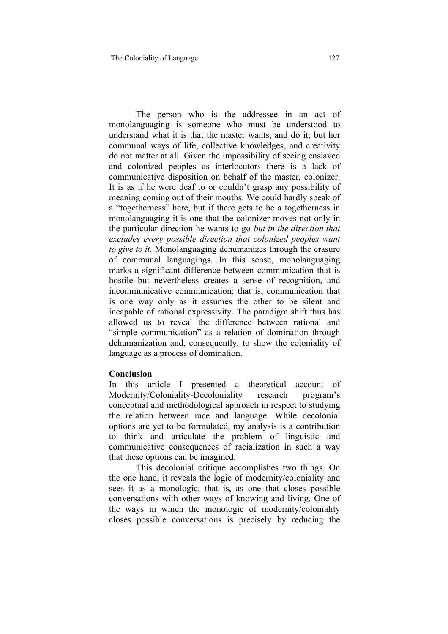The person who is the addressee in an act of monolanguaging is someone who must be understood to understand what it is that the master wants, and do it; but her communal ways of life, collective knowledges, and creativity do not matter at all. Given the impossibility of seeing enslaved and colonized peoples as interlocutors there is a lack of communicative disposition on behalf of the master, colonizer. It is as if he were deaf to or couldn't grasp any possibility of meaning coming out of their mouths. We could hardly speak of a "togetherness" here, but if there gets to be a togetherness in monolanguaging it is one that the colonizer moves not only in the particular direction he wants to go *but in the direction that excludes every possible direction that colonized peoples want to give to it*. Monolanguaging dehumanizes through the erasure of communal languagings. In this sense, monolanguaging marks a significant difference between communication that is hostile but nevertheless creates a sense of recognition, and incommunicative communication; that is, communication that is one way only as it assumes the other to be silent and incapable of rational expressivity. The paradigm shift thus has allowed us to reveal the difference between rational and "simple communication" as a relation of domination through dehumanization and, consequently, to show the coloniality of language as a process of domination.

#### **Conclusion**

In this article I presented a theoretical account of Modernity/Coloniality-Decoloniality research program's conceptual and methodological approach in respect to studying the relation between race and language. While decolonial options are yet to be formulated, my analysis is a contribution to think and articulate the problem of linguistic and communicative consequences of racialization in such a way that these options can be imagined.

This decolonial critique accomplishes two things. On the one hand, it reveals the logic of modernity/coloniality and sees it as a monologic; that is, as one that closes possible conversations with other ways of knowing and living. One of the ways in which the monologic of modernity/coloniality closes possible conversations is precisely by reducing the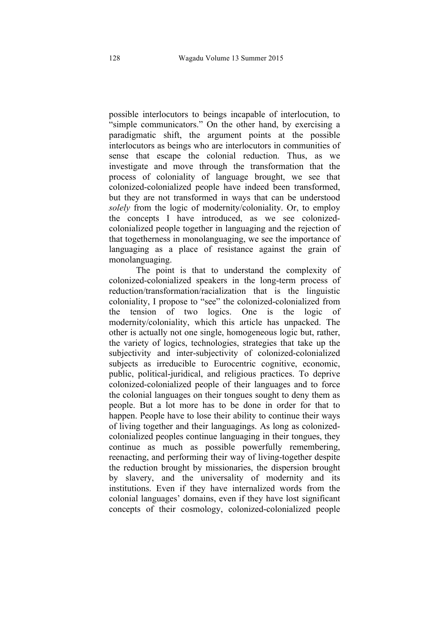possible interlocutors to beings incapable of interlocution, to "simple communicators." On the other hand, by exercising a paradigmatic shift, the argument points at the possible interlocutors as beings who are interlocutors in communities of sense that escape the colonial reduction. Thus, as we investigate and move through the transformation that the process of coloniality of language brought, we see that colonized-colonialized people have indeed been transformed, but they are not transformed in ways that can be understood *solely* from the logic of modernity/coloniality. Or, to employ the concepts I have introduced, as we see colonizedcolonialized people together in languaging and the rejection of that togetherness in monolanguaging, we see the importance of languaging as a place of resistance against the grain of monolanguaging.

The point is that to understand the complexity of colonized-colonialized speakers in the long-term process of reduction/transformation/racialization that is the linguistic coloniality, I propose to "see" the colonized-colonialized from the tension of two logics. One is the logic of modernity/coloniality, which this article has unpacked. The other is actually not one single, homogeneous logic but, rather, the variety of logics, technologies, strategies that take up the subjectivity and inter-subjectivity of colonized-colonialized subjects as irreducible to Eurocentric cognitive, economic, public, political-juridical, and religious practices. To deprive colonized-colonialized people of their languages and to force the colonial languages on their tongues sought to deny them as people. But a lot more has to be done in order for that to happen. People have to lose their ability to continue their ways of living together and their languagings. As long as colonizedcolonialized peoples continue languaging in their tongues, they continue as much as possible powerfully remembering, reenacting, and performing their way of living-together despite the reduction brought by missionaries, the dispersion brought by slavery, and the universality of modernity and its institutions. Even if they have internalized words from the colonial languages' domains, even if they have lost significant concepts of their cosmology, colonized-colonialized people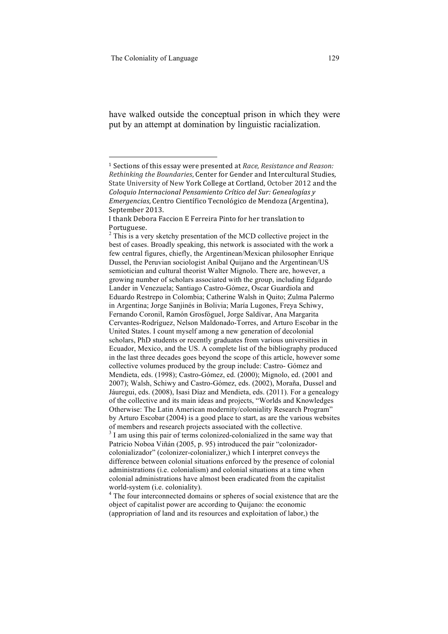have walked outside the conceptual prison in which they were put by an attempt at domination by linguistic racialization.

object of capitalist power are according to Quijano: the economic (appropriation of land and its resources and exploitation of labor,) the

<sup>&</sup>lt;sup>1</sup> Sections of this essay were presented at *Race*, *Resistance and Reason: Rethinking the Boundaries, Center for Gender and Intercultural Studies,* State University of New York College at Cortland, October 2012 and the *Coloquio Internacional Pensamiento Crítico del Sur: Genealogías y Emergencias, Centro Científico Tecnológico de Mendoza (Argentina),* September 2013.

I thank Debora Faccion E Ferreira Pinto for her translation to Portuguese. 

<sup>&</sup>lt;sup>2</sup> This is a very sketchy presentation of the MCD collective project in the best of cases. Broadly speaking, this network is associated with the work a few central figures, chiefly, the Argentinean/Mexican philosopher Enrique Dussel, the Peruvian sociologist Aníbal Quijano and the Argentinean/US semiotician and cultural theorist Walter Mignolo. There are, however, a growing number of scholars associated with the group, including Edgardo Lander in Venezuela; Santiago Castro-Gómez, Oscar Guardiola and Eduardo Restrepo in Colombia; Catherine Walsh in Quito; Zulma Palermo in Argentina; Jorge Sanjinés in Bolivia; María Lugones, Freya Schiwy, Fernando Coronil, Ramón Grosfóguel, Jorge Saldívar, Ana Margarita Cervantes-Rodríguez, Nelson Maldonado-Torres, and Arturo Escobar in the United States. I count myself among a new generation of decolonial scholars, PhD students or recently graduates from various universities in Ecuador, Mexico, and the US. A complete list of the bibliography produced in the last three decades goes beyond the scope of this article, however some collective volumes produced by the group include: Castro- Gómez and Mendieta, eds. (1998); Castro-Gómez, ed. (2000); Mignolo, ed. (2001 and 2007); Walsh, Schiwy and Castro-Gómez, eds. (2002), Moraña, Dussel and Jáuregui, eds. (2008), Isasi Díaz and Mendieta, eds. (2011). For a genealogy of the collective and its main ideas and projects, "Worlds and Knowledges Otherwise: The Latin American modernity/coloniality Research Program" by Arturo Escobar (2004) is a good place to start, as are the various websites of members and research projects associated with the collective. <sup>3</sup> I am using this pair of terms colonized-colonialized in the same way that Patricio Noboa Viñán (2005, p. 95) introduced the pair "colonizadorcolonializador" (colonizer-colonializer,) which I interpret conveys the difference between colonial situations enforced by the presence of colonial administrations (i.e. colonialism) and colonial situations at a time when colonial administrations have almost been eradicated from the capitalist world-system (i.e. coloniality).<br><sup>4</sup> The four interconnected domains or spheres of social existence that are the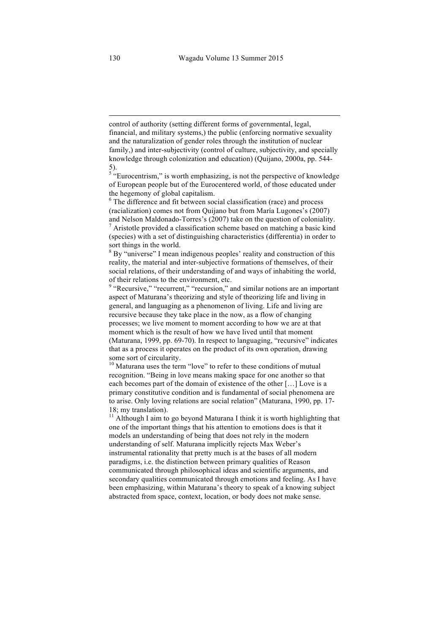control of authority (setting different forms of governmental, legal, financial, and military systems,) the public (enforcing normative sexuality and the naturalization of gender roles through the institution of nuclear family,) and inter-subjectivity (control of culture, subjectivity, and specially knowledge through colonization and education) (Quijano, 2000a, pp. 544- 5).

 

 $5 \text{``Eurocentrism''}$  is worth emphasizing, is not the perspective of knowledge of European people but of the Eurocentered world, of those educated under the hegemony of global capitalism.<br><sup>6</sup> The difference and fit between social classification (race) and process

(racialization) comes not from Quijano but from María Lugones's (2007)

and Nelson Maldonado-Torres's (2007) take on the question of coloniality.<br><sup>7</sup> Aristotle provided a classification scheme based on matching a basic kind (species) with a set of distinguishing characteristics (differentia) in order to sort things in the world.

 $8$  By "universe" I mean indigenous peoples' reality and construction of this reality, the material and inter-subjective formations of themselves, of their social relations, of their understanding of and ways of inhabiting the world, of their relations to the environment, etc.

<sup>9</sup> "Recursive," "recurrent," "recursion," and similar notions are an important aspect of Maturana's theorizing and style of theorizing life and living in general, and languaging as a phenomenon of living. Life and living are recursive because they take place in the now, as a flow of changing processes; we live moment to moment according to how we are at that moment which is the result of how we have lived until that moment (Maturana, 1999, pp. 69-70). In respect to languaging, "recursive" indicates that as a process it operates on the product of its own operation, drawing some sort of circularity.<br> $10$  Maturana uses the term "love" to refer to these conditions of mutual

recognition. "Being in love means making space for one another so that each becomes part of the domain of existence of the other […] Love is a primary constitutive condition and is fundamental of social phenomena are to arise. Only loving relations are social relation" (Maturana, 1990, pp. 17- 18; my translation).

<sup>11</sup> Although I aim to go beyond Maturana I think it is worth highlighting that one of the important things that his attention to emotions does is that it models an understanding of being that does not rely in the modern understanding of self. Maturana implicitly rejects Max Weber's instrumental rationality that pretty much is at the bases of all modern paradigms, i.e. the distinction between primary qualities of Reason communicated through philosophical ideas and scientific arguments, and secondary qualities communicated through emotions and feeling. As I have been emphasizing, within Maturana's theory to speak of a knowing subject abstracted from space, context, location, or body does not make sense.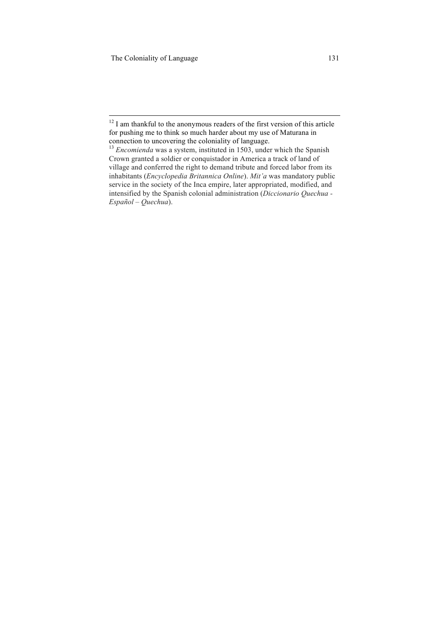$12$  I am thankful to the anonymous readers of the first version of this article for pushing me to think so much harder about my use of Maturana in connection to uncovering the coloniality of language.<br><sup>13</sup> *Encomienda* was a system, instituted in 1503, under which the Spanish

Crown granted a soldier or conquistador in America a track of land of village and conferred the right to demand tribute and forced labor from its inhabitants (*Encyclopedia Britannica Online*). *Mit'a* was mandatory public service in the society of the Inca empire, later appropriated, modified, and intensified by the Spanish colonial administration (*Diccionario Quechua - Español – Quechua*).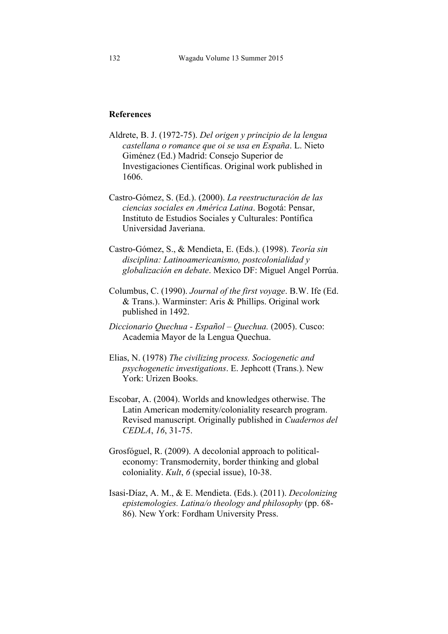## **References**

- Aldrete, B. J. (1972-75). *Del origen y principio de la lengua castellana o romance que oi se usa en España*. L. Nieto Giménez (Ed.) Madrid: Consejo Superior de Investigaciones Científicas. Original work published in 1606.
- Castro-Gómez, S. (Ed.). (2000). *La reestructuración de las ciencias sociales en América Latina*. Bogotá: Pensar, Instituto de Estudios Sociales y Culturales: Pontífica Universidad Javeriana.
- Castro-Gómez, S., & Mendieta, E. (Eds.). (1998). *Teoría sin disciplina: Latinoamericanismo, postcolonialidad y globalización en debate*. Mexico DF: Miguel Angel Porrúa.
- Columbus, C. (1990). *Journal of the first voyage*. B.W. Ife (Ed. & Trans.). Warminster: Aris & Phillips. Original work published in 1492.
- *Diccionario Quechua - Español – Quechua.* (2005). Cusco: Academia Mayor de la Lengua Quechua.
- Elias, N. (1978) *The civilizing process. Sociogenetic and psychogenetic investigations*. E. Jephcott (Trans.). New York: Urizen Books.
- Escobar, A. (2004). Worlds and knowledges otherwise. The Latin American modernity/coloniality research program. Revised manuscript. Originally published in *Cuadernos del CEDLA*, *16*, 31-75.
- Grosfóguel, R. (2009). A decolonial approach to politicaleconomy: Transmodernity, border thinking and global coloniality. *Kult*, *6* (special issue), 10-38.
- Isasi-Díaz, A. M., & E. Mendieta. (Eds.). (2011). *Decolonizing epistemologies. Latina/o theology and philosophy* (pp. 68- 86). New York: Fordham University Press.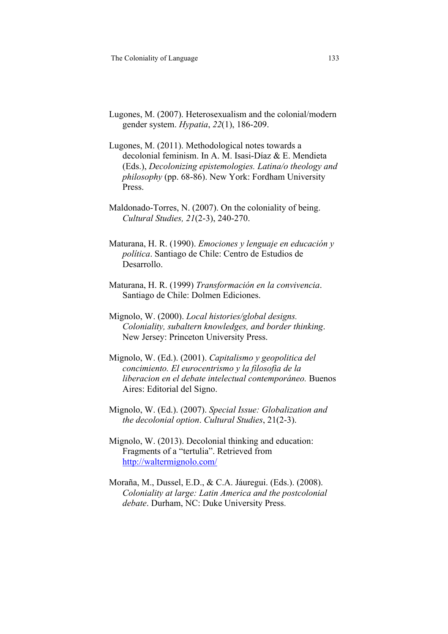- Lugones, M. (2007). Heterosexualism and the colonial/modern gender system. *Hypatia*, *22*(1), 186-209.
- Lugones, M. (2011). Methodological notes towards a decolonial feminism. In A. M. Isasi-Díaz & E. Mendieta (Eds.), *Decolonizing epistemologies. Latina/o theology and philosophy* (pp. 68-86). New York: Fordham University Press.
- Maldonado-Torres, N. (2007). On the coloniality of being. *Cultural Studies, 21*(2-3), 240-270.
- Maturana, H. R. (1990). *Emociones y lenguaje en educación y política*. Santiago de Chile: Centro de Estudios de Desarrollo.
- Maturana, H. R. (1999) *Transformación en la convivencia*. Santiago de Chile: Dolmen Ediciones.
- Mignolo, W. (2000). *Local histories/global designs. Coloniality, subaltern knowledges, and border thinking*. New Jersey: Princeton University Press.
- Mignolo, W. (Ed.). (2001). *Capitalismo y geopolitica del concimiento. El eurocentrismo y la filosofia de la liberacion en el debate intelectual contemporáneo.* Buenos Aires: Editorial del Signo.
- Mignolo, W. (Ed.). (2007). *Special Issue: Globalization and the decolonial option*. *Cultural Studies*, 21(2-3).
- Mignolo, W. (2013). Decolonial thinking and education: Fragments of a "tertulia". Retrieved from http://waltermignolo.com/
- Moraña, M., Dussel, E.D., & C.A. Jáuregui. (Eds.). (2008). *Coloniality at large: Latin America and the postcolonial debate*. Durham, NC: Duke University Press.